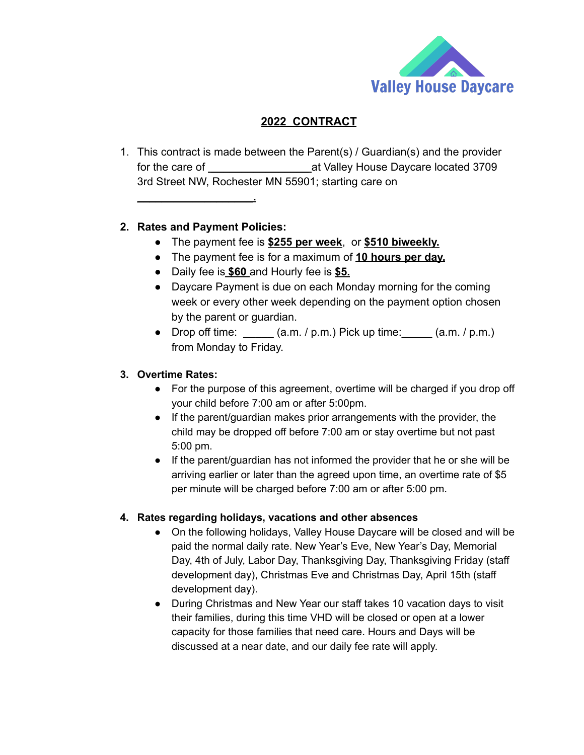

# **2022 CONTRACT**

1. This contract is made between the Parent(s) / Guardian(s) and the provider for the care of **\_\_\_\_\_\_\_\_\_\_\_\_\_\_\_\_** at Valley House Daycare located 3709 3rd Street NW, Rochester MN 55901; starting care on

# **2. Rates and Payment Policies:**

**\_\_\_\_\_\_\_\_\_\_\_\_\_\_\_\_\_\_\_.**

- The payment fee is **\$255 per week**, or **\$510 biweekly.**
- The payment fee is for a maximum of **10 hours per day.**
- **●** Daily fee is **\$60** and Hourly fee is **\$5.**
- Daycare Payment is due on each Monday morning for the coming week or every other week depending on the payment option chosen by the parent or guardian.
- Drop off time:  $\frac{1}{2}$  (a.m. / p.m.) Pick up time:  $\frac{1}{2}$  (a.m. / p.m.) from Monday to Friday.

# **3. Overtime Rates:**

- For the purpose of this agreement, overtime will be charged if you drop off your child before 7:00 am or after 5:00pm.
- If the parent/guardian makes prior arrangements with the provider, the child may be dropped off before 7:00 am or stay overtime but not past 5:00 pm.
- If the parent/guardian has not informed the provider that he or she will be arriving earlier or later than the agreed upon time, an overtime rate of \$5 per minute will be charged before 7:00 am or after 5:00 pm.

### **4. Rates regarding holidays, vacations and other absences**

- On the following holidays, Valley House Daycare will be closed and will be paid the normal daily rate. New Year's Eve, New Year's Day, Memorial Day, 4th of July, Labor Day, Thanksgiving Day, Thanksgiving Friday (staff development day), Christmas Eve and Christmas Day, April 15th (staff development day).
- During Christmas and New Year our staff takes 10 vacation days to visit their families, during this time VHD will be closed or open at a lower capacity for those families that need care. Hours and Days will be discussed at a near date, and our daily fee rate will apply.